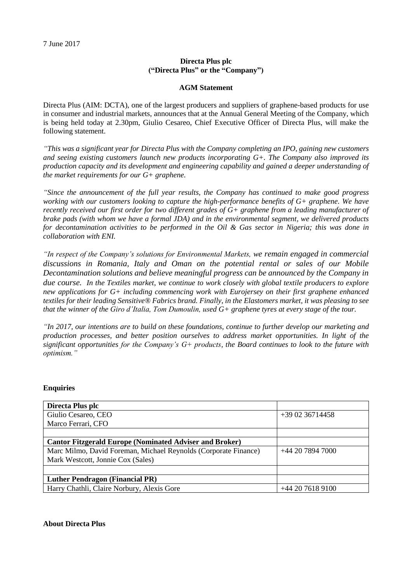## **Directa Plus plc ("Directa Plus" or the "Company")**

## **AGM Statement**

Directa Plus (AIM: DCTA), one of the largest producers and suppliers of graphene-based products for use in consumer and industrial markets, announces that at the Annual General Meeting of the Company, which is being held today at 2.30pm, Giulio Cesareo, Chief Executive Officer of Directa Plus, will make the following statement.

*"This was a significant year for Directa Plus with the Company completing an IPO, gaining new customers and seeing existing customers launch new products incorporating G+. The Company also improved its production capacity and its development and engineering capability and gained a deeper understanding of the market requirements for our G+ graphene.*

*"Since the announcement of the full year results, the Company has continued to make good progress working with our customers looking to capture the high-performance benefits of G+ graphene. We have recently received our first order for two different grades of G+ graphene from a leading manufacturer of brake pads (with whom we have a formal JDA) and in the environmental segment, we delivered products for decontamination activities to be performed in the Oil & Gas sector in Nigeria; this was done in collaboration with ENI.*

*"In respect of the Company's solutions for Environmental Markets, we remain engaged in commercial discussions in Romania, Italy and Oman on the potential rental or sales of our Mobile Decontamination solutions and believe meaningful progress can be announced by the Company in due course. In the Textiles market, we continue to work closely with global textile producers to explore new applications for G+ including commencing work with Eurojersey on their first graphene enhanced textiles for their leading Sensitive® Fabrics brand. Finally, in the Elastomers market, it was pleasing to see that the winner of the Giro d'Italia, Tom Dumoulin, used G+ graphene tyres at every stage of the tour.* 

*"In 2017, our intentions are to build on these foundations, continue to further develop our marketing and production processes, and better position ourselves to address market opportunities. In light of the significant opportunities for the Company's G+ products, the Board continues to look to the future with optimism."*

## **Enquiries**

| Directa Plus plc                                                |                 |
|-----------------------------------------------------------------|-----------------|
| Giulio Cesareo, CEO                                             | $+390236714458$ |
| Marco Ferrari, CFO                                              |                 |
|                                                                 |                 |
| <b>Cantor Fitzgerald Europe (Nominated Adviser and Broker)</b>  |                 |
| Marc Milmo, David Foreman, Michael Reynolds (Corporate Finance) | $+442078947000$ |
| Mark Westcott, Jonnie Cox (Sales)                               |                 |
|                                                                 |                 |
| <b>Luther Pendragon (Financial PR)</b>                          |                 |
| Harry Chathli, Claire Norbury, Alexis Gore                      | $+442076189100$ |

## **About Directa Plus**